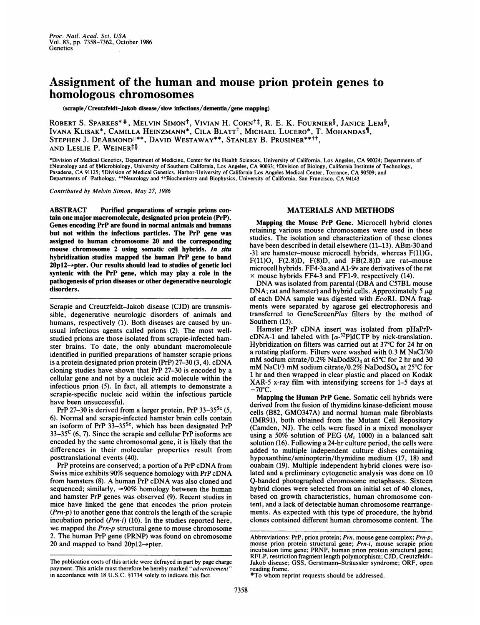## Assignment of the human and mouse prion protein genes to homologous chromosomes

(scrapie/Creutzfeldt-Jakob disease/slow infections/dementia/gene mapping)

ROBERT S. SPARKES\*\*, MELVIN SIMON<sup>†</sup>, VIVIAN H. COHN<sup>†‡</sup>, R. E. K. FOURNIER<sup>§</sup>, JANICE LEM<sup>§</sup>, IVANA KLISAK\*, CAMILLA HEINZMANN\*, CILA BLATTt, MICHAEL LUCERO\*, T. MOHANDAS¶, STEPHEN J. DEARMOND<sup>1\*\*</sup>, DAVID WESTAWAY<sup>\*\*</sup>, STANLEY B. PRUSINER<sup>\*\*††</sup>. AND LESLIE P. WEINER<sup>‡§</sup>

\*Division of Medical Genetics, Department of Medicine, Center for the Health Sciences, University of California, Los Angeles, CA 90024; Departments of tNeurology and of §Microbiology, University of Southern California, Los Angeles, CA 90033; tDivision of Biology, California Institute of Technology, Pasadena, CA 91125; ¶Division of Medical Genetics, Harbor-University of California Los Angeles Medical Center, Torrance, CA 90509; and<br>Departments of "Pathology, \*\*Neurology and ††Biochemistry and Biophysics, University of

Contributed by Melvin Simon, May 27, 1986

ABSTRACT Purified preparations of scrapie prions contain one major macromolecule, designated prion protein (PrP). Genes encoding PrP are found in normal animals and humans but not within the infectious particles. The PrP gene was assigned to human chromosome 20 and the corresponding mouse chromosome 2 using somatic cell hybrids. In situ hybridization studies mapped the human PrP gene to band  $20p12 \rightarrow$  pter. Our results should lead to studies of genetic loci syntenic with the PrP gene, which may play a role in the pathogenesis of prion diseases or other degenerative neurologic disorders.

Scrapie and Creutzfeldt-Jakob disease (CJD) are transmissible, degenerative neurologic disorders of animals and humans, respectively (1). Both diseases are caused by unusual infectious agents called prions (2). The most wellstudied prions are those isolated from scrapie-infected hamster brains. To date, the only abundant macromolecule identified in purified preparations of hamster scrapie prions is <sup>a</sup> protein designated prion protein (PrP) 27-30 (3, 4). cDNA cloning studies have shown that PrP 27-30 is encoded by a cellular gene and not by a nucleic acid molecule within the infectious prion (5). In fact, all attempts to demonstrate a scrapie-specific nucleic acid within the infectious particle have been unsuccessful.

PrP 27-30 is derived from a larger protein, PrP  $33-35^{8c}$  (5, 6). Normal and scrapie-infected hamster brain cells contain an isoform of PrP  $33-35$ <sup>Sc</sup>, which has been designated PrP  $33-35^{\circ}$  (6, 7). Since the scrapie and cellular PrP isoforms are encoded by the same chromosomal gene, it is likely that the differences in their molecular properties result from posttranslational events (40).

PrP proteins are conserved; <sup>a</sup> portion of <sup>a</sup> PrP cDNA from Swiss mice exhibits 90% sequence homology with PrP cDNA from hamsters (8). A human PrP cDNA was also cloned and sequenced; similarly,  $\approx 90\%$  homology between the human and hamster PrP genes was observed (9). Recent studies in mice have linked the gene that encodes the prion protein  $(Prn-p)$  to another gene that controls the length of the scrapie incubation period  $(Prn-i)$  (10). In the studies reported here, we mapped the Prn-p structural gene to mouse chromosome 2. The human PrP gene (PRNP) was found on chromosome 20 and mapped to band  $20p12 \rightarrow$ pter.

## MATERIALS AND METHODS

Mapping the Mouse PrP Gene. Microcell hybrid clones retaining various mouse chromosomes were used in these studies. The isolation and characterization of these clones have been described in detail elsewhere (11–13). ABm-30 and -31 are hamster-mouse microcell hybrids, whereas F(11)G, F(11)O, F(2.8)D, F(8)D, and FB(2.8)D are rat-mouse microcell hybrids. FF4-3a and A1-9v are derivatives of the rat  $\times$  mouse hybrids FF4-3 and FF1-9, respectively (14).

DNA was isolated from parental (DBA and C57BL mouse DNA; rat and hamster) and hybrid cells. Approximately 5  $\mu$ g of each DNA sample was digested with EcoRI. DNA fragments were separated by agarose gel electrophoresis and transferred to GeneScreenPlus filters by the method of Southern (15).

Hamster PrP cDNA insert was isolated from pHaPrPcDNA-1 and labeled with  $\lceil \alpha^{-32}P \rceil dCTP$  by nick-translation. Hybridization on filters was carried out at 37°C for 24 hr on <sup>a</sup> rotating platform. Filters were washed with 0.3 M NaCl/30 mM sodium citrate/0.2% NaDodSO<sub>4</sub> at 65°C for 2 hr and 30 mM NaCl/3 mM sodium citrate/0.2% NaDodSO<sub>4</sub> at 25 $\degree$ C for <sup>1</sup> hr and then wrapped in clear plastic and placed on Kodak XAR-5 x-ray film with intensifying screens for 1-5 days at  $-70^{\circ}$ C.

Mapping the Human PrP Gene. Somatic cell hybrids were derived from the fusion of thymidine kinase-deficient mouse cells (B82, GM0347A) and normal human male fibroblasts (IMR91), both obtained from the Mutant Cell Repository (Camden, NJ). The cells were fused in a mixed monolayer using a 50% solution of PEG  $(M_r 1000)$  in a balanced salt solution (16). Following a 24-hr culture period, the cells were added to multiple independent culture dishes containing hypoxanthine/aminopterin/thymidine medium (17, 18) and ouabain (19). Multiple independent hybrid clones were isolated and a preliminary cytogenetic analysis was done on 10 Q-banded photographed chromosome metaphases. Sixteen hybrid clones were selected from an initial set of 40 clones, based on growth characteristics, human chromosome content, and a lack of detectable human chromosome rearrangements. As expected with this type of procedure, the hybrid clones contained different human chromosome content. The

The publication costs of this article were defrayed in part by page charge payment. This article must therefore be hereby marked "advertisement" in accordance with 18 U.S.C. §1734 solely to indicate this fact.

Abbreviations: PrP, prion protein; Prn, mouse gene complex; Prn-p, mouse prion protein structural gene; Prn-i, mouse scrapie prion incubation time gene; PRNP, human prion protein structural gene; RFLP, restriction fragment length polymorphism; CJD, Creutzfeldt-Jakob disease; GSS, Gerstmann-Straussler syndrome; ORF, open reading frame.

<sup>\*</sup>To whom reprint requests should be addressed.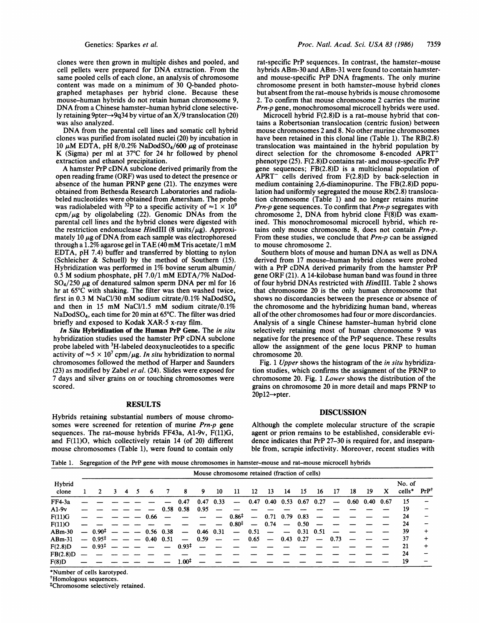clones were then grown in multiple dishes and pooled, and cell pellets were prepared for DNA extraction. From the same pooled cells of each clone, an analysis of chromosome content was made on a minimum of 30 Q-banded photographed metaphases per hybrid clone. Because these mouse-human hybrids do not retain human chromosome 9, DNA from <sup>a</sup> Chinese hamster-human hybrid clone selectively retaining 9pter->9q34 by virtue of an  $\dot{X}/9$  translocation (20) was also analyzed.

DNA from the parental cell lines and somatic cell hybrid clones was purified from isolated nuclei (20) by incubation in 10  $\mu$ M EDTA, pH 8/0.2% NaDodSO<sub>4</sub>/600  $\mu$ g of proteinase K (Sigma) per ml at  $37^{\circ}$ C for 24 hr followed by phenol extraction and ethanol precipitation.

A hamster PrP cDNA subclone derived primarily from the open reading frame (ORF) was used to detect the presence or absence of the human PRNP gene (21). The enzymes were obtained from Bethesda Research Laboratories and radiolabeled nucleotides were obtained from Amersham. The probe was radiolabeled with <sup>32</sup>P to a specific activity of  $\approx$  1  $\times$  10<sup>9</sup>  $\text{cpm}/\mu\text{g}$  by oligolabeling (22). Genomic DNAs from the parental cell lines and the hybrid clones were digested with the restriction endonuclease HindIII (8 units/ $\mu$ g). Approximately 10  $\mu$ g of DNA from each sample was electrophoresed through <sup>a</sup> 1.2% agarose gel in TAE (40 mM Tris acetate/1 mM EDTA, pH 7.4) buffer and transferred by blotting to nylon (Schleicher & Schuell) by the method of Southern (15). Hybridization was performed in 1% bovine serum albumin/ 0.5 M sodium phosphate, pH 7.0/1 mM EDTA/7% NaDod- $SO_4/250 \mu$ g of denatured salmon sperm DNA per ml for 16 hr at 65°C with shaking. The filter was then washed twice, first in 0.3 M NaCl/30 mM sodium citrate/0.1% NaDodSO<sub>4</sub> and then in 15 mM NaCl/1.5 mM sodium citrate/0.1% NaDodSO4, each time for 20 min at 65°C. The filter was dried briefly and exposed to Kodak XAR-5 x-ray film.

In Situ Hybridization of the Human PrP Gene. The in situ hybridization studies used the hamster PrP cDNA subclone probe labeled with 3H-labeled deoxynucleotides to a specific activity of  $\approx 5 \times 10^7$  cpm/ $\mu$ g. *In situ* hybridization to normal chromosomes followed the method of Harper and Saunders (23) as modified by Zabel et al. (24). Slides were exposed for 7 days and silver grains on or touching chromosomes were scored.

## **RESULTS**

Hybrids retaining substantial numbers of mouse chromosomes were screened for retention of murine Prn-p gene sequences. The rat-mouse hybrids FF43a, A1-9v, F(11)G, and F(11)O, which collectively retain 14 (of 20) different mouse chromosomes (Table 1), were found to contain only

rat-specific PrP sequences. In contrast, the hamster-mouse hybrids ABm-30 and ABm-31 were found to contain hamsterand mouse-specific PrP DNA fragments. The only murine chromosome present in both hamster-mouse hybrid clones but absent from the rat-mouse hybrids is mouse chromosome 2. To confirm that mouse chromosome 2 carries the murine Prn-p gene, monochromosomal microcell hybrids were used.

Microcell hybrid F(2.8)D is a rat-mouse hybrid that contains a Robertsonian translocation (centric fusion) between mouse chromosomes <sup>2</sup> and 8. No other murine chromosomes have been retained in this clonal line (Table 1). The RB(2.8) translocation was maintained in the hybrid population by direct selection for the chromosome 8-encoded APRT<sup>-</sup> phenotype (25). F(2.8)D contains rat- and mouse-specific PrP gene sequences; FB(2.8)D is a multiclonal population of APRT- cells derived from F(2.8)D by back-selection in medium containing 2,6-diaminopurine. The FB(2.8)D population had uniformly segregated the mouse Rb(2.8) translocation chromosome (Table 1) and no longer retains murine Prn-p gene sequences. To confirm that Prn-p segregates with chromosome 2, DNA from hybrid clone F(8)D was examined. This monochromosomal microcell hybrid, which retains only mouse chromosome 8, does not contain Prn-p. From these studies, we conclude that Prn-p can be assigned to mouse chromosome 2.

Southern blots of mouse and human DNA as well as DNA derived from 17 mouse-human hybrid clones were probed with <sup>a</sup> PrP cDNA derived primarily from the hamster PrP gene ORF (21). A 14-kilobase human band was found in three of four hybrid DNAs restricted with HindIII. Table <sup>2</sup> shows that chromosome 20 is the only human chromosome that shows no discordancies between the presence or absence of the chromosome and the hybridizing human band, whereas all of the other chromosomes had four or more discordancies. Analysis of a single Chinese hamster-human hybrid clone selectively retaining most of human chromosome 9 was negative for the presence of the PrP sequence. These results allow the assignment of the gene locus PRNP to human chromosome 20.

Fig. 1 Upper shows the histogram of the *in situ* hybridization studies, which confirms the assignment of the PRNP to chromosome 20. Fig. <sup>1</sup> Lower shows the distribution of the grains on chromosome 20 in more detail and maps PRNP to  $20p12 \rightarrow$ pter.

## DISCUSSION

Although the complete molecular structure of the scrapie agent or prion remains to be established, considerable evidence indicates that PrP 27-30 is required for, and inseparable from, scrapie infectivity. Moreover, recent studies with

Table 1. Segregation of the PrP gene with mouse chromosomes in hamster-mouse and rat-mouse microcell hybrids

|                 | Mouse chromosome retained (fraction of cells) |        |  |               |                  |             |                          |             |                 |                   |                          |                          |                          |                              |                          |      |               |    |      |                  |                 |
|-----------------|-----------------------------------------------|--------|--|---------------|------------------|-------------|--------------------------|-------------|-----------------|-------------------|--------------------------|--------------------------|--------------------------|------------------------------|--------------------------|------|---------------|----|------|------------------|-----------------|
| Hybrid<br>clone | $\mathcal{L}$                                 | 3<br>4 |  | -6            |                  |             | 8                        | 9           | 10              | -11               |                          | -13                      | 14<br>15                 |                              | 16                       | 17   | 18            | 19 | X    | No. of<br>cells* | $PrP^{\dagger}$ |
| $FF4-3a$        |                                               |        |  |               |                  |             | $-0.47$                  | $0.47$ 0.33 |                 |                   |                          |                          |                          | $-$ 0.47 0.40 0.53 0.67 0.27 |                          |      | $-$ 0.60 0.40 |    | 0.67 | 15               |                 |
| $A1-9v$         |                                               |        |  |               |                  |             | $0.58$ 0.58              | 0.95        |                 |                   |                          |                          |                          |                              |                          |      |               |    |      | 19               |                 |
| F(11)G          |                                               |        |  |               | 0.66             |             |                          |             |                 | $0.86^{\ddagger}$ | $\overline{\phantom{0}}$ |                          | $0.71$ 0.79 0.83         |                              |                          |      |               |    |      | 24               |                 |
| F(11)O          |                                               |        |  |               |                  |             | - - - - - - - - -        |             |                 | $0.80^{\ddagger}$ |                          | $-0.74$                  | $\overline{\phantom{m}}$ | 0.50                         |                          |      |               |    |      | 24               |                 |
| $ABm-30$        | $-0.90^{\ddagger}$                            |        |  | المسامس السوا |                  | $0.56$ 0.38 | $\overline{\phantom{0}}$ | $0.46$ 0.31 |                 | $-$               | 0.51                     | $\overline{\phantom{a}}$ | $\overline{\phantom{a}}$ | $0.31$ $0.51$                |                          |      |               |    |      | 39               | $\ddot{}$       |
| $ABm-31$        | $-0.95^{\ddagger}$                            |        |  |               | $0.40\quad 0.51$ |             |                          | $-0.59$     | $\qquad \qquad$ | $\frac{1}{2}$     | 0.65                     |                          |                          | $-$ 0.43 0.27                | $\overline{\phantom{0}}$ | 0.73 |               |    |      | 37               | $\ddot{}$       |
| F(2.8)D         | $-0.93^{\ddagger}$                            |        |  |               |                  |             | $0.93^{\ddagger}$        |             |                 |                   |                          |                          |                          |                              |                          |      |               |    |      | 21               | $\div$          |
| FB(2.8)D        |                                               |        |  |               |                  |             |                          |             |                 |                   |                          |                          |                          |                              |                          |      |               |    |      | 24               |                 |
| F(8)D           |                                               |        |  |               |                  |             | $1.00^{\ddagger}$        |             |                 |                   |                          |                          |                          |                              |                          |      |               |    |      | 19               |                 |

\*Number of cells karotyped.

tHomologous sequences.

tChromosome selectively retained.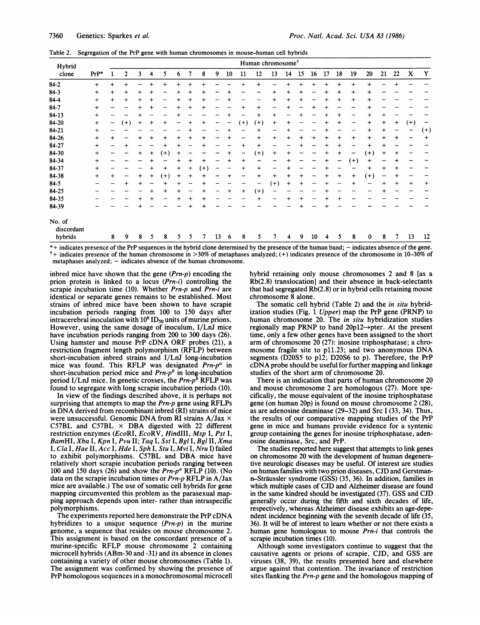Table 2. Segregation of the PrP gene with human chromosomes in mouse-human cell hybrids

| Hybrid                          |           |           |           |           |                 |           |           |           |           |        |    |           | Human chromosome <sup>+</sup> |           |           |               |      |           |           |           |                  |           |           |          |           |
|---------------------------------|-----------|-----------|-----------|-----------|-----------------|-----------|-----------|-----------|-----------|--------|----|-----------|-------------------------------|-----------|-----------|---------------|------|-----------|-----------|-----------|------------------|-----------|-----------|----------|-----------|
| clone                           | $PrP*$    |           | 2         | 3         | 4               | 5         | 6         |           | 8         | 9      | 10 | 11        | 12                            | 13        | 14        | 15            | 16   | 17        | 18        | 19        | 20               | 21        | 22        | X        | Y         |
| $84 - 2$                        | $\ddot{}$ | $\ddot{}$ |           |           |                 |           | $\ddot{}$ |           |           |        |    | $\ddot{}$ | $\ddot{}$                     |           |           | +             |      |           | $\ddot{}$ | ┿         | $+$              |           |           |          |           |
| $84-3$                          | $\ddot{}$ | $^{+}$    | $^{+}$    | $\ddot{}$ | $\,^+$          |           | $\ddot{}$ | $\,{}^+$  | $\ddot{}$ |        |    |           |                               | $\ddot{}$ | $\,{}^+$  | +             |      | $\ddag$   | $+$       | $\ddot{}$ | $\boldsymbol{+}$ |           |           |          |           |
| 84-4                            | $+$       | $^{+}$    | $\ddot{}$ | +         | $\,{}^+$        |           |           | $\ddot{}$ |           |        |    |           |                               | $\ddot{}$ | $\ddot{}$ | +             |      |           | $\ddot{}$ | $\ddot{}$ | $\ddot{}$        |           |           |          |           |
| 84-7                            | $\div$    |           |           |           | $\,{}^+$        |           | $\ddot{}$ | $\,^+$    | $\,{}^+$  |        |    | $^{+}$    | $\ddag$                       |           |           |               |      |           |           |           | +                |           |           |          |           |
| 84-13                           | $\ddot{}$ |           |           |           |                 |           |           |           |           |        |    |           | $\ddot{}$                     | $\ddot{}$ |           |               |      |           |           |           | $+$              | +         |           |          |           |
| 84-20                           | $\ddot{}$ | -         | $(+)$     | +         | $\ddot{}$       | +         |           |           | $\,{}^+$  |        |    | $(+)$     | $(+)$                         | $\ddot{}$ | +         |               |      | $\ddag$   | $\div$    |           | $\ddot{}$        | $\ddot{}$ | $\ddot{}$ | $^{(+)}$ |           |
| 84-21                           | $+$       |           |           |           |                 |           |           |           |           |        |    |           | $\ddot{}$                     |           |           |               |      |           |           |           | $\,^+$           | $\,^+$    |           |          | $^{(+)}$  |
| 84-26                           | $\ddot{}$ | $\ddot{}$ |           |           | $^{\mathrm{+}}$ | $\ddot{}$ | $\ddot{}$ |           | $\,^+$    | -      |    | —         | $\ddot{}$                     | $\ddot{}$ | +         | ┿             | $^+$ | +         | $\ddag$   | $\ddot{}$ | $\ddot{}$        | $\div$    | +         |          | $\ddot{}$ |
| 84-27                           | $^{+}$    |           |           |           |                 |           |           |           |           |        |    | $\ddot{}$ | $+$                           |           |           |               |      |           |           |           | $\,{}^+$         |           |           |          |           |
| 84-30                           | $^{+}$    |           |           | $\ddot{}$ | $\ddot{}$       | $(+)$     |           |           |           |        |    | -         | $^{(+)}$                      | $\ddot{}$ |           |               |      | $\bm{+}$  |           |           | $(+)$            |           |           |          |           |
| 84-34                           | $\ddot{}$ |           |           |           |                 |           |           |           | +         |        | ┿  | $\ddot{}$ |                               |           |           |               |      | $\ddot{}$ | -         | $(+)$     | $\ddot{}$        |           | $\,{}^+$  |          |           |
| 84-37                           | $\ddot{}$ |           |           |           |                 | $\ddot{}$ | $\ddot{}$ | $\,{}^+$  | $^{(+)}$  |        |    | $\ddot{}$ | $\ddot{}$                     |           |           |               |      |           |           |           | $\ddot{}$        | $\div$    | +         |          |           |
| 84-38                           | $^{+}$    | $\ddot{}$ |           | +         | $\ddot{}$       | $(+)$     | $\ddot{}$ |           | +         |        |    |           | $\ddot{}$                     | $\ddot{}$ | $\,{}^+$  |               |      | $\,{}^+$  | $\div$    | $\ddot{}$ | $^{(+)}$         | --        | $\,{}^+$  |          |           |
| $84 - 5$                        |           |           |           |           |                 |           |           |           | +         |        |    |           |                               | $(+)$     | $^{+}$    |               |      |           |           | +         |                  | $\,{}^+$  | $\div$    |          | $\ddot{}$ |
| 84-25                           |           |           |           |           |                 | +         | ┿         |           | $\,{}^+$  | -      |    | $\,{}^+$  | $(+)$                         |           |           |               |      |           |           |           |                  |           |           |          |           |
| 84-35                           |           |           |           |           |                 |           |           | $\ddot{}$ | $\ddot{}$ |        |    |           |                               |           |           |               |      |           |           |           |                  |           |           |          |           |
| 84-39                           |           |           |           |           |                 |           |           |           |           |        |    |           |                               |           |           |               |      |           |           |           |                  |           |           |          |           |
| No. of<br>discordant<br>hybrids |           | 8         | 9         | 8         | 5               | 8         | 5         | 5.        | 7         | 13     | 6  | 8         | 5                             | 7         | 4         | 9             | 10   | 4         | 5         | 8         | $\mathbf{0}$     | 8         |           | 13       | 12        |
|                                 |           |           |           |           |                 |           |           |           | .         | $\sim$ |    | .         |                               |           |           | $\sim$ $\sim$ |      |           |           | .         |                  |           |           |          |           |

\*+ indicates presence of the PrP sequences in the hybrid clone determined by the presence of the human band; - indicates absence of the gene.  $^+$ + indicates presence of the human chromosome in  $>$ 30% of metaphases analyzed; (+) indicates presence of the chromosome in 10-30% of metaphases analyzed; - indicates absence of the human chromosome.

inbred mice have shown that the gene  $(Prn-p)$  encoding the prion protein is linked to a locus (Prn-i) controlling the scrapie incubation time (10). Whether Prn-p and Prn-i are identical or separate genes remains to be established. Most strains of inbred mice have been shown to have scrapie incubation periods ranging from 100 to 150 days after intracerebral inoculation with  $10^6$  ID<sub>50</sub> units of murine prions. However, using the same dosage of inoculum, I/LnJ mice have incubation periods ranging from 200 to 300 days (26). Using hamster and mouse PrP cDNA ORF probes (21), <sup>a</sup> restriction fragment length polymorphism (RFLP) between short-incubation inbred strains and I/LnJ long-incubation mice was found. This RFLP was designated  $Prn-p^a$  in short-incubation period mice and  $Prn-p<sup>b</sup>$  in long-incubation period I/LnJ mice. In genetic crosses, the  $Prn-p^b$  RFLP was found to segregate with long scrapie incubation periods (10).

In view of the findings described above, it is perhaps not surprising that attempts to map the Prn-p gene using RFLPs in DNA derived from recombinant inbred (RI) strains of mice were unsuccessful. Genomic DNA from RI strains  $A/Jax \times$ C57BL and C57BL  $\times$  DBA digested with 22 different restriction enzymes (EcoRI, EcoRV, HindIII, Msp I, Pst I, BamHI, Xba I, Kpn I, Pvu II; Taq I, Sst I, Bgl I, Bgl II, Xma I, Cla I, Hae II, Acc I, Hde I, Sph I, Stu I, Mvi I, Nru I) failed to exhibit polymorphisms. C57BL and DBA mice have relatively short scrapie incubation periods ranging between 100 and 150 days (26) and show the  $Prn-p^a$  RFLP (10). (No data on the scrapie incubation times or Prn-p RFLP in A/Jax mice are available.) The use of somatic cell hybrids for gene mapping circumvented this problem as the parasexual mapping approach depends upon inter- rather than intraspecific polymorphisms.

The experiments reported here demonstrate the PrP cDNA hybridizes to a unique sequence  $(Prn-p)$  in the murine genome, a sequence that resides on mouse chromosome 2. This assignment is based on the concordant presence of a murine-specific RFLP mouse chromosome <sup>2</sup> containing microcell hybrids (ABm-30 and -31) and its absence in clones containing a variety of other mouse chromosomes (Table 1). The assignment was confirmed by showing the presence of PrP homologous sequences in a monochromosomal microcell hybrid retaining only mouse chromosomes 2 and 8 [as a Rb(2.8) translocation] and their absence in back-selectants that had segregated Rb(2.8) or in hybrid cells retaining mouse chromosome 8 alone.

The somatic cell hybrid (Table 2) and the *in situ* hybridization studies (Fig. <sup>1</sup> Upper) map the PrP gene (PRNP) to human chromosome 20. The in situ hybridization studies regionally map PRNP to band  $20p12 \rightarrow$ pter. At the present time, only a few other genes have been assigned to the short arm of chromosome 20 (27): inosine triphosphatase; a chromosome fragile site to p11.23; and two anonymous DNA segments (D20S5 to p12; D20S6 to p). Therefore, the PrP cDNA probe should be useful for further mapping and linkage studies of the short arm of chromosome 20.

There is an indication that parts of human chromosome 20 and mouse chromosome 2 are homologous (27). More specifically, the mouse equivalent of the inosine triphosphatase gene (on human 20p) is found on mouse chromosome 2 (28), as are adenosine deaminase (29-32) and Src 1 (33, 34). Thus, the results of our comparative mapping studies of the PrP gene in mice and humans provide evidence for a syntenic group containing the genes for inosine triphosphatase, adenosine deaminase, Src, and PrP.

The studies reported here suggest that attempts to link genes on chromosome 20 with the development of human degenerative neurologic diseases may be useful. Of interest are studies on human families with two prion diseases, CJD and Gerstmann-Straussler syndrome (GSS) (35, 36). In addition, families in which multiple cases of CJD and Alzheimer disease are found in the same kindred should be investigated (37). GSS and CJD generally occur during the fifth and sixth decades of life, respectively, whereas Alzheimer disease exhibits an age-dependent incidence beginning with the seventh decade of life (35, 36). It will be of interest to learn whether or not there exists a human gene homologous to mouse Prn-i that controls the scrapie incubation times (10).

Although some investigators continue to suggest that the causative agents or prions of scrapie, CJD, and GSS are viruses (38, 39), the results presented here and elsewhere argue against that contention. The invariance of restriction sites flanking the Prn-p gene and the homologous mapping of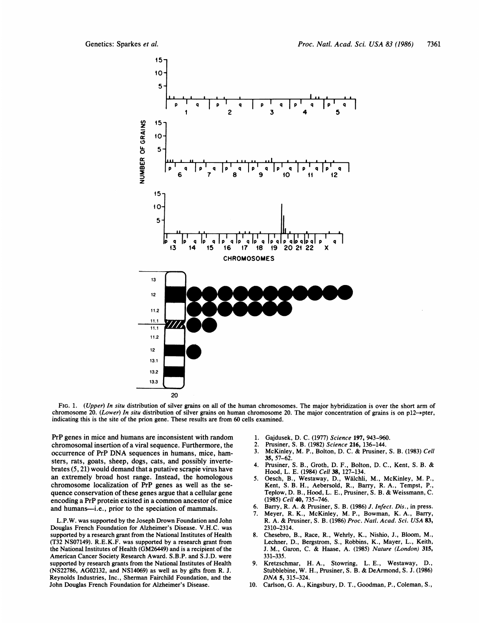

FIG. 1. (Upper) In situ distribution of silver grains on all of the human chromosomes. The major hybridization is over the short arm of chromosome 20. (Lower) In situ distribution of silver grains on human chromosome 20. The major concentration of grains is on p12 $\rightarrow$ pter, indicating this is the site of the prion gene. These results are from 60 cells examined.

PrP genes in mice and humans are inconsistent with random chromosomal insertion of a viral sequence. Furthermore, the occurrence of PrP DNA sequences in humans, mice, hamsters, rats, goats, sheep, dogs, cats, and possibly invertebrates (5, 21) would demand that a putative scrapie virus have an extremely broad host range. Instead, the homologous chromosome localization of PrP genes as well as the sequence conservation of these genes argue that a cellular gene encoding a PrP protein existed in a common ancestor of mice and humans-i.e., prior to the speciation of mammals.

L.P.W. was supported by the Joseph Drown Foundation and John Douglas French Foundation for Alzheimer's Disease. V.H.C. was supported by a research grant from the National Institutes of Health (T32 NS07149). R.E.K.F. was supported by a research grant from the National Institutes of Health (GM26449) and is a recipient of the American Cancer Society Research Award. S.B.P. and S.J.D. were supported by research grants from the National Institutes of Health (NS22786, AG02132, and NS14069) as well as by gifts from R. J. Reynolds Industries, Inc., Sherman Fairchild Foundation, and the John Douglas French Foundation for Alzheimer's Disease.

- 1. Gajdusek, D. C. (1977) Science 197, 943-960.
- 2. Prusiner, S. B. (1982) Science 216, 136-144.
- 3. McKinley, M. P., Bolton, D. C. & Prusiner, S. B. (1983) Cell 35, 57-62.
- 4. Prusiner, S. B., Groth, D. F., Bolton, D. C., Kent, S. B. & Hood, L. E. (1984) Cell 38, 127-134.
- 5. Oesch, B., Westaway, D., Walchli, M., McKinley, M. P., Kent, S. B. H., Aebersold, R., Barry, R. A., Tempst, P., Teplow, D. B., Hood, L. E., Prusiner, S. B. & Weissmann, C. (1985) Cell 40, 735-746.
- 6. Barry, R. A. & Prusiner, S. B. (1986) J. Infect. Dis., in press.
- 7. Meyer, R. K., McKinley, M. P., Bowman, K. A., Barry, R. A. & Prusiner, S. B. (1986) Proc. Natl. Acad. Sci. USA 83, 2310-2314.
- 8. Chesebro, B., Race, R., Wehrly, K., Nishio, J., Bloom, M., Lechner, D., Bergstrom, S., Robbins, K., Mayer, L., Keith, J. M., Garon, C. & Haase, A. (1985) Nature (London) 315, 331-335.
- 9. Kretzschmar, H. A., Stowring, L. E., Westaway, D., Stubblebine, W. H., Prusiner, S. B. & DeArmond, S. J. (1986) DNA 5, 315-324.
- 10. Carlson, G. A., Kingsbury, D. T., Goodman, P., Coleman, S.,